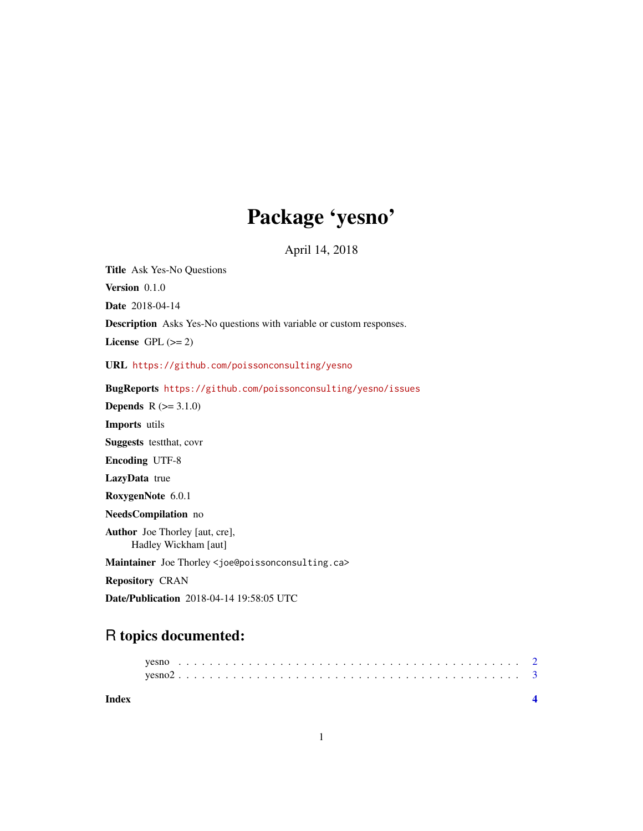## Package 'yesno'

April 14, 2018

<span id="page-0-0"></span>Title Ask Yes-No Questions Version 0.1.0 Date 2018-04-14 Description Asks Yes-No questions with variable or custom responses. License GPL  $(>= 2)$ URL <https://github.com/poissonconsulting/yesno> BugReports <https://github.com/poissonconsulting/yesno/issues> **Depends**  $R (= 3.1.0)$ Imports utils Suggests testthat, covr Encoding UTF-8 LazyData true RoxygenNote 6.0.1 NeedsCompilation no Author Joe Thorley [aut, cre], Hadley Wickham [aut] Maintainer Joe Thorley <joe@poissonconsulting.ca> Repository CRAN Date/Publication 2018-04-14 19:58:05 UTC

### R topics documented:

| Index |  |  |  |  |  |  |  |  |  |  |  |  |  |  |  |  |  |  |  |  |  |  |  |
|-------|--|--|--|--|--|--|--|--|--|--|--|--|--|--|--|--|--|--|--|--|--|--|--|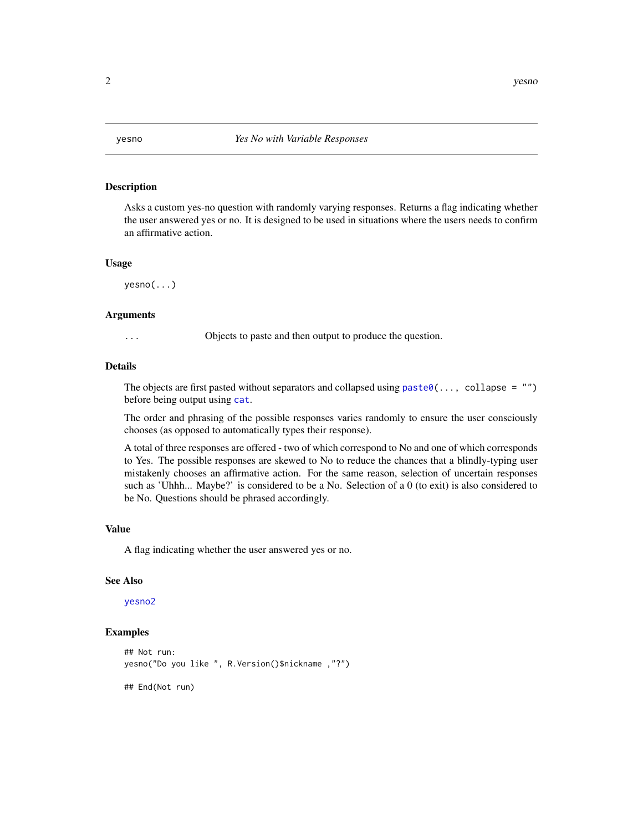<span id="page-1-1"></span><span id="page-1-0"></span>

#### **Description**

Asks a custom yes-no question with randomly varying responses. Returns a flag indicating whether the user answered yes or no. It is designed to be used in situations where the users needs to confirm an affirmative action.

#### Usage

yesno(...)

#### Arguments

... Objects to paste and then output to produce the question.

#### Details

The objects are first pasted without separators and collapsed using  $past@(...,$  collapse =  $"")$ before being output using [cat](#page-0-0).

The order and phrasing of the possible responses varies randomly to ensure the user consciously chooses (as opposed to automatically types their response).

A total of three responses are offered - two of which correspond to No and one of which corresponds to Yes. The possible responses are skewed to No to reduce the chances that a blindly-typing user mistakenly chooses an affirmative action. For the same reason, selection of uncertain responses such as 'Uhhh... Maybe?' is considered to be a No. Selection of a 0 (to exit) is also considered to be No. Questions should be phrased accordingly.

#### Value

A flag indicating whether the user answered yes or no.

#### See Also

#### [yesno2](#page-2-1)

#### Examples

```
## Not run:
yesno("Do you like ", R.Version()$nickname ,"?")
```
## End(Not run)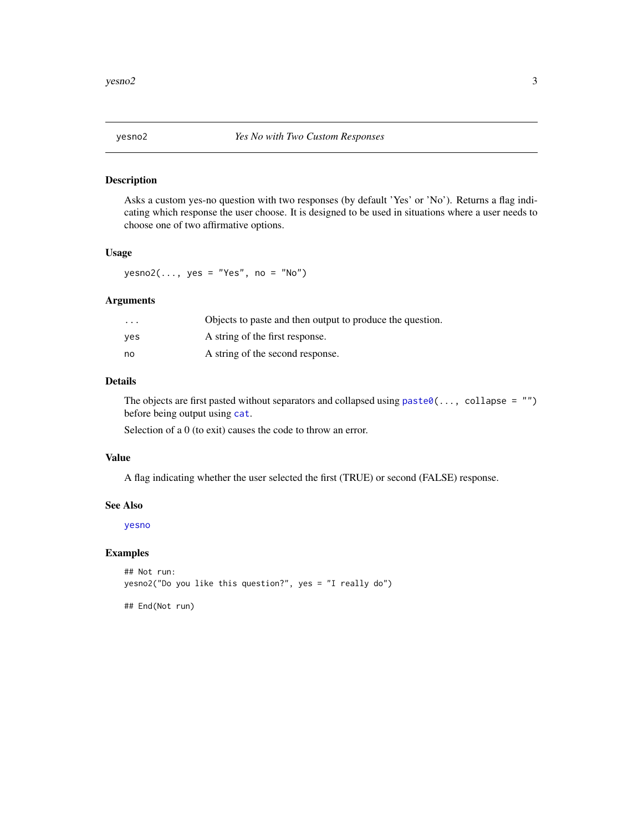<span id="page-2-1"></span><span id="page-2-0"></span>

#### Description

Asks a custom yes-no question with two responses (by default 'Yes' or 'No'). Returns a flag indicating which response the user choose. It is designed to be used in situations where a user needs to choose one of two affirmative options.

#### Usage

 $yesno2(..., yes = "Yes", no = "No")$ 

#### Arguments

| $\cdots$ | Objects to paste and then output to produce the question. |
|----------|-----------------------------------------------------------|
| ves      | A string of the first response.                           |
| no       | A string of the second response.                          |

#### Details

The objects are first pasted without separators and collapsed using  $\text{past}(\ldots, \text{ collapse} = \text{""\,})$ before being output using [cat](#page-0-0).

Selection of a 0 (to exit) causes the code to throw an error.

#### Value

A flag indicating whether the user selected the first (TRUE) or second (FALSE) response.

#### See Also

[yesno](#page-1-1)

#### Examples

## Not run: yesno2("Do you like this question?", yes = "I really do")

## End(Not run)